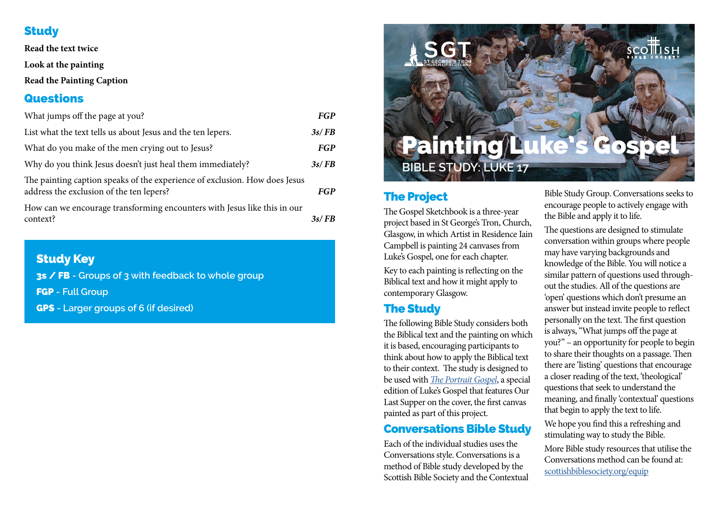## **Study**

**Read the text twice**

**Look at the painting**

**Read the Painting Caption**

#### **Questions**

| What jumps off the page at you?                                                                                        | FGP        |
|------------------------------------------------------------------------------------------------------------------------|------------|
| List what the text tells us about Jesus and the ten lepers.                                                            | 3s/FB      |
| What do you make of the men crying out to Jesus?                                                                       | <b>FGP</b> |
| Why do you think Jesus doesn't just heal them immediately?                                                             | 3s/FB      |
| The painting caption speaks of the experience of exclusion. How does Jesus<br>address the exclusion of the ten lepers? | <b>FGP</b> |
| How can we encourage transforming encounters with Jesus like this in our<br>context?                                   | 3s/FB      |

## Study Key

3s / FB **- Groups of 3 with feedback to whole group** 

FGP **- Full Group** 

GPS **- Larger groups of 6 (if desired)**



## The Project

The Gospel Sketchbook is a three-year project based in St George's Tron, Church, Glasgow, in which Artist in Residence Iain Campbell is painting 24 canvases from Luke's Gospel, one for each chapter.

Key to each painting is reflecting on the Biblical text and how it might apply to contemporary Glasgow.

## The Study

The following Bible Study considers both the Biblical text and the painting on which it is based, encouraging participants to think about how to apply the Biblical text to their context. The study is designed to be used with *[The Portrait Gospel](https://scottishbiblesociety.org/our-work/the-portrait-gospel/)*, a special edition of Luke's Gospel that features Our Last Supper on the cover, the first canvas painted as part of this project.

## Conversations Bible Study

Each of the individual studies uses the Conversations style. Conversations is a method of Bible study developed by the Scottish Bible Society and the Contextual Bible Study Group. Conversations seeks to encourage people to actively engage with the Bible and apply it to life.

The questions are designed to stimulate conversation within groups where people may have varying backgrounds and knowledge of the Bible. You will notice a similar pattern of questions used throughout the studies. All of the questions are 'open' questions which don't presume an answer but instead invite people to reflect personally on the text. The first question is always, "What jumps off the page at you?" – an opportunity for people to begin to share their thoughts on a passage. Then there are 'listing' questions that encourage a closer reading of the text, 'theological' questions that seek to understand the meaning, and finally 'contextual' questions that begin to apply the text to life. We hope you find this a refreshing and stimulating way to study the Bible. More Bible study resources that utilise the

Conversations method can be found at: [scottishbiblesociety.org/equip](https://scottishbiblesociety.org/equip)